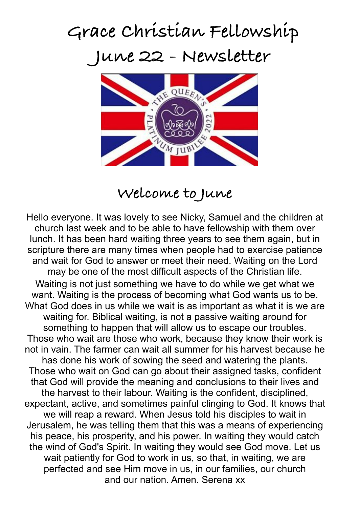# **Grace Christian Fellowship June 22 - Newsletter**



## **Welcome to June**

Hello everyone. It was lovely to see Nicky, Samuel and the children at church last week and to be able to have fellowship with them over lunch. It has been hard waiting three years to see them again, but in scripture there are many times when people had to exercise patience and wait for God to answer or meet their need. Waiting on the Lord may be one of the most difficult aspects of the Christian life. Waiting is not just something we have to do while we get what we want. Waiting is the process of becoming what God wants us to be. What God does in us while we wait is as important as what it is we are waiting for. Biblical waiting, is not a passive waiting around for something to happen that will allow us to escape our troubles. Those who wait are those who work, because they know their work is not in vain. The farmer can wait all summer for his harvest because he has done his work of sowing the seed and watering the plants. Those who wait on God can go about their assigned tasks, confident that God will provide the meaning and conclusions to their lives and the harvest to their labour. Waiting is the confident, disciplined, expectant, active, and sometimes painful clinging to God. It knows that we will reap a reward. When Jesus told his disciples to wait in Jerusalem, he was telling them that this was a means of experiencing his peace, his prosperity, and his power. In waiting they would catch the wind of God's Spirit. In waiting they would see God move. Let us wait patiently for God to work in us, so that, in waiting, we are perfected and see Him move in us, in our families, our church and our nation. Amen. Serena xx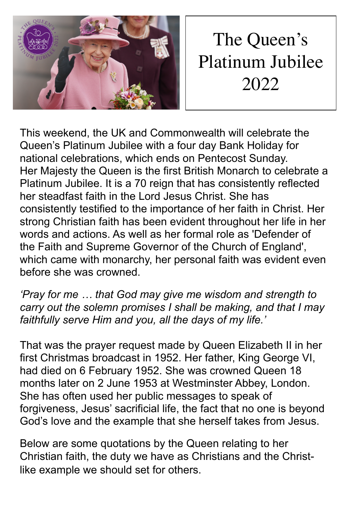

The Queen's Platinum Jubilee 2022

This weekend, the UK and Commonwealth will celebrate the Queen's Platinum Jubilee with a four day Bank Holiday for national celebrations, which ends on Pentecost Sunday. Her Majesty the Queen is the first British Monarch to celebrate a Platinum Jubilee. It is a 70 reign that has consistently reflected her steadfast faith in the Lord Jesus Christ. She has consistently testified to the importance of her faith in Christ. Her strong Christian faith has been evident throughout her life in her words and actions. As well as her formal role as 'Defender of the Faith and Supreme Governor of the Church of England', which came with monarchy, her personal faith was evident even before she was crowned.

*'Pray for me … that God may give me wisdom and strength to carry out the solemn promises I shall be making, and that I may faithfully serve Him and you, all the days of my life.'*

That was the prayer request made by Queen Elizabeth II in her first Christmas broadcast in 1952. Her father, King George VI, had died on 6 February 1952. She was crowned Queen 18 months later on 2 June 1953 at Westminster Abbey, London. She has often used her public messages to speak of forgiveness, Jesus' sacrificial life, the fact that no one is beyond God's love and the example that she herself takes from Jesus.

Below are some quotations by the Queen relating to her Christian faith, the duty we have as Christians and the Christlike example we should set for others.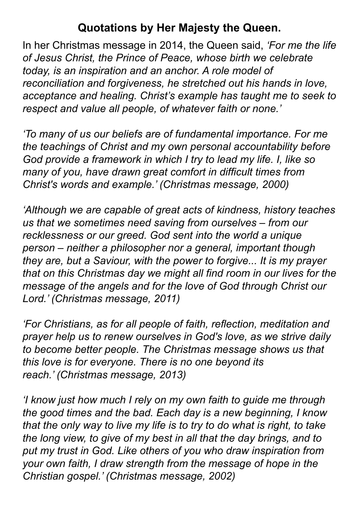#### **Quotations by Her Majesty the Queen.**

In her Christmas message in 2014, the Queen said, *'For me the life of Jesus Christ, the Prince of Peace, whose birth we celebrate today, is an inspiration and an anchor. A role model of reconciliation and forgiveness, he stretched out his hands in love, acceptance and healing. Christ's example has taught me to seek to respect and value all people, of whatever faith or none.'* 

*'To many of us our beliefs are of fundamental importance. For me the teachings of Christ and my own personal accountability before God provide a framework in which I try to lead my life. I, like so many of you, have drawn great comfort in difficult times from Christ's words and example.' (Christmas message, 2000)*

*'Although we are capable of great acts of kindness, history teaches us that we sometimes need saving from ourselves – from our recklessness or our greed. God sent into the world a unique person – neither a philosopher nor a general, important though they are, but a Saviour, with the power to forgive... It is my prayer that on this Christmas day we might all find room in our lives for the message of the angels and for the love of God through Christ our Lord.' (Christmas message, 2011)*

*'For Christians, as for all people of faith, reflection, meditation and prayer help us to renew ourselves in God's love, as we strive daily to become better people. The Christmas message shows us that this love is for everyone. There is no one beyond its reach.' (Christmas message, 2013)*

*'I know just how much I rely on my own faith to guide me through the good times and the bad. Each day is a new beginning, I know that the only way to live my life is to try to do what is right, to take the long view, to give of my best in all that the day brings, and to put my trust in God. Like others of you who draw inspiration from your own faith, I draw strength from the message of hope in the Christian gospel.' (Christmas message, 2002)*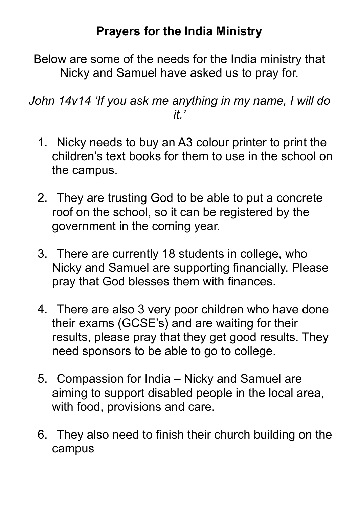Below are some of the needs for the India ministry that Nicky and Samuel have asked us to pray for.

### *John 14v14 'If you ask me anything in my name, I will do it.'*

- 1. Nicky needs to buy an A3 colour printer to print the children's text books for them to use in the school on the campus.
- 2. They are trusting God to be able to put a concrete roof on the school, so it can be registered by the government in the coming year.
- 3. There are currently 18 students in college, who Nicky and Samuel are supporting financially. Please pray that God blesses them with finances.
- 4. There are also 3 very poor children who have done their exams (GCSE's) and are waiting for their results, please pray that they get good results. They need sponsors to be able to go to college.
- 5. Compassion for India Nicky and Samuel are aiming to support disabled people in the local area, with food, provisions and care.
- 6. They also need to finish their church building on the campus